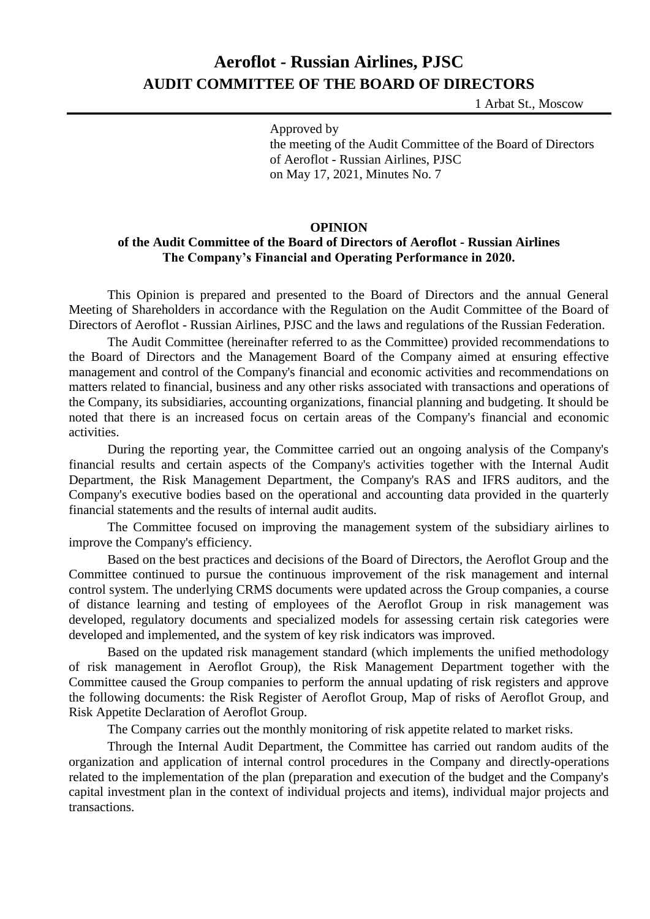## **Aeroflot - Russian Airlines, PJSC AUDIT COMMITTEE OF THE BOARD OF DIRECTORS**

1 Arbat St., Moscow

Approved by the meeting of the Audit Committee of the Board of Directors of Aeroflot - Russian Airlines, PJSC on May 17, 2021, Minutes No. 7

## **OPINION**

## **of the Audit Committee of the Board of Directors of Aeroflot - Russian Airlines The Company's Financial and Operating Performance in 2020.**

This Opinion is prepared and presented to the Board of Directors and the annual General Meeting of Shareholders in accordance with the Regulation on the Audit Committee of the Board of Directors of Aeroflot - Russian Airlines, PJSC and the laws and regulations of the Russian Federation.

The Audit Committee (hereinafter referred to as the Committee) provided recommendations to the Board of Directors and the Management Board of the Company aimed at ensuring effective management and control of the Company's financial and economic activities and recommendations on matters related to financial, business and any other risks associated with transactions and operations of the Company, its subsidiaries, accounting organizations, financial planning and budgeting. It should be noted that there is an increased focus on certain areas of the Company's financial and economic activities.

During the reporting year, the Committee carried out an ongoing analysis of the Company's financial results and certain aspects of the Company's activities together with the Internal Audit Department, the Risk Management Department, the Company's RAS and IFRS auditors, and the Company's executive bodies based on the operational and accounting data provided in the quarterly financial statements and the results of internal audit audits.

The Committee focused on improving the management system of the subsidiary airlines to improve the Company's efficiency.

Based on the best practices and decisions of the Board of Directors, the Aeroflot Group and the Committee continued to pursue the continuous improvement of the risk management and internal control system. The underlying CRMS documents were updated across the Group companies, a course of distance learning and testing of employees of the Aeroflot Group in risk management was developed, regulatory documents and specialized models for assessing certain risk categories were developed and implemented, and the system of key risk indicators was improved.

Based on the updated risk management standard (which implements the unified methodology of risk management in Aeroflot Group), the Risk Management Department together with the Committee caused the Group companies to perform the annual updating of risk registers and approve the following documents: the Risk Register of Aeroflot Group, Map of risks of Aeroflot Group, and Risk Appetite Declaration of Aeroflot Group.

The Company carries out the monthly monitoring of risk appetite related to market risks.

Through the Internal Audit Department, the Committee has carried out random audits of the organization and application of internal control procedures in the Company and directly-operations related to the implementation of the plan (preparation and execution of the budget and the Company's capital investment plan in the context of individual projects and items), individual major projects and transactions.